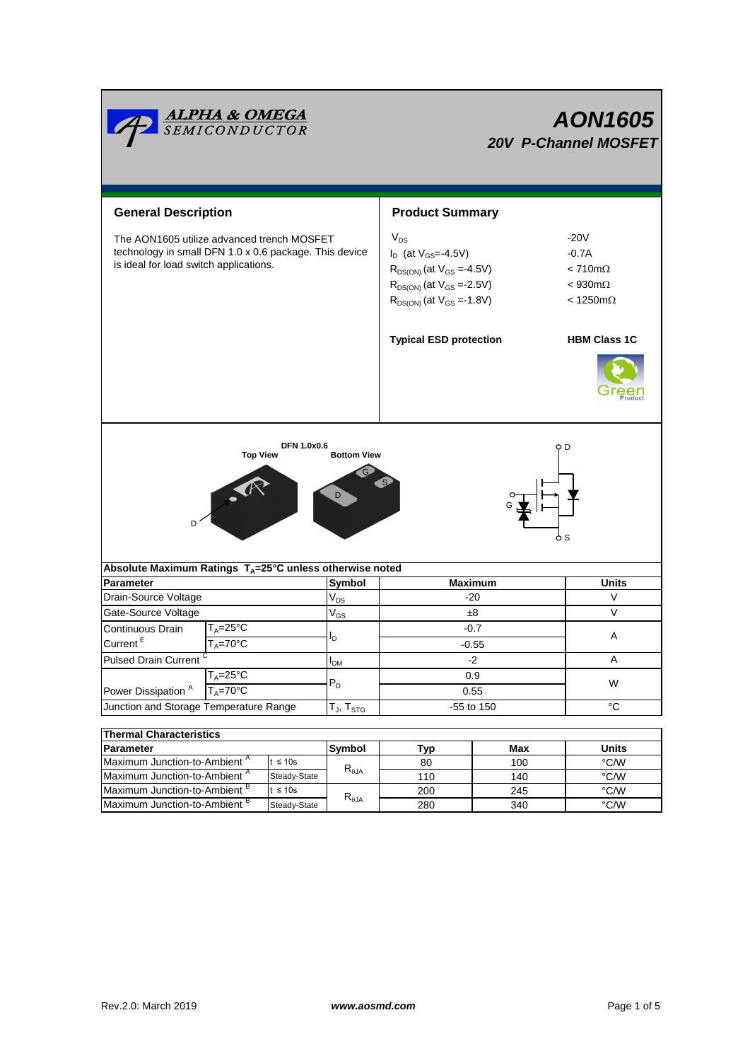|                                                                                                                                                | <u><b>ALPHA &amp; OMEGA</b><br/>SEMICONDUCTOR</u> |                                  | <b>AON1605</b><br><b>20V P-Channel MOSFET</b> |                                                                                                                                                              |                    |                                                                                             |  |
|------------------------------------------------------------------------------------------------------------------------------------------------|---------------------------------------------------|----------------------------------|-----------------------------------------------|--------------------------------------------------------------------------------------------------------------------------------------------------------------|--------------------|---------------------------------------------------------------------------------------------|--|
| <b>General Description</b>                                                                                                                     |                                                   |                                  | <b>Product Summary</b>                        |                                                                                                                                                              |                    |                                                                                             |  |
| The AON1605 utilize advanced trench MOSFET<br>technology in small DFN 1.0 x 0.6 package. This device<br>is ideal for load switch applications. |                                                   |                                  |                                               | $V_{DS}$<br>$I_D$ (at $V_{GS} = -4.5V$ )<br>$R_{DS(ON)}$ (at $V_{GS} = 4.5V$ )<br>$R_{DS(ON)}$ (at $V_{GS} = -2.5V$ )<br>$R_{DS(ON)}$ (at $V_{GS} = -1.8V$ ) |                    | $-20V$<br>$-0.7A$<br>$< 710 \text{m}\Omega$<br>$< 930 \text{m}\Omega$<br>$<$ 1250m $\Omega$ |  |
|                                                                                                                                                |                                                   |                                  |                                               | <b>Typical ESD protection</b>                                                                                                                                |                    |                                                                                             |  |
| D                                                                                                                                              | <b>Top View</b>                                   | <b>DFN 1.0x0.6</b>               | <b>Bottom View</b>                            |                                                                                                                                                              |                    | O D<br>ዕ S                                                                                  |  |
| Absolute Maximum Ratings $T_A = 25^\circ C$ unless otherwise noted                                                                             |                                                   |                                  |                                               |                                                                                                                                                              |                    |                                                                                             |  |
| <b>Parameter</b>                                                                                                                               |                                                   |                                  | Symbol                                        | <b>Maximum</b>                                                                                                                                               |                    | <b>Units</b>                                                                                |  |
| Drain-Source Voltage                                                                                                                           |                                                   |                                  | $\rm V_{DS}$                                  | -20                                                                                                                                                          |                    | V                                                                                           |  |
| Gate-Source Voltage                                                                                                                            |                                                   |                                  | $\mathsf{V}_{\mathsf{GS}}$                    | $\pm 8$                                                                                                                                                      |                    | V                                                                                           |  |
| Continuous Drain<br>Current $E$                                                                                                                | $T_A = 25$ °C<br>$T_A = 70^\circ C$               |                                  |                                               | $-0.7$<br>$-0.55$                                                                                                                                            |                    | A                                                                                           |  |
| Pulsed Drain Current                                                                                                                           |                                                   |                                  | <b>I</b> <sub>DM</sub>                        | -2                                                                                                                                                           |                    | A                                                                                           |  |
| $T_A = 25$ °C                                                                                                                                  |                                                   |                                  | 0.9                                           |                                                                                                                                                              |                    |                                                                                             |  |
| Power Dissipation <sup>A</sup>                                                                                                                 | $T_A = 70$ °C                                     |                                  | $P_D$                                         | 0.55                                                                                                                                                         |                    | W                                                                                           |  |
| Junction and Storage Temperature Range                                                                                                         |                                                   |                                  | $T_J$ , $T_{STG}$                             | -55 to 150                                                                                                                                                   |                    | $^{\circ}C$                                                                                 |  |
| <b>Thermal Characteristics</b>                                                                                                                 |                                                   |                                  |                                               |                                                                                                                                                              |                    |                                                                                             |  |
| Parameter                                                                                                                                      |                                                   |                                  | Symbol                                        | Typ                                                                                                                                                          | Max                | <b>Units</b>                                                                                |  |
| Maximum Junction-to-Ambient <sup>A</sup><br>$t \leq 10s$                                                                                       |                                                   |                                  | 80                                            | 100                                                                                                                                                          | $\overline{C}$ C/W |                                                                                             |  |
| Maximum Junction-to-Ambient <sup>A</sup><br>Steady-State                                                                                       |                                                   | $\mathsf{R}_{\theta\mathsf{JA}}$ | 110                                           | 140                                                                                                                                                          | $\degree$ C/W      |                                                                                             |  |
| Maximum Junction-to-Ambient <sup>B</sup><br>t ≤ 10s                                                                                            |                                                   | $R_{\theta JA}$                  | 200                                           | 245                                                                                                                                                          | °C/W               |                                                                                             |  |
| Maximum Junction-to-Ambient B<br>Steady-State                                                                                                  |                                                   |                                  | 280                                           | 340                                                                                                                                                          | $\rm ^{\circ}$ C/W |                                                                                             |  |

Maximum Junction-to-Ambient<sup>B</sup>

Steady-State

280 340 °C/W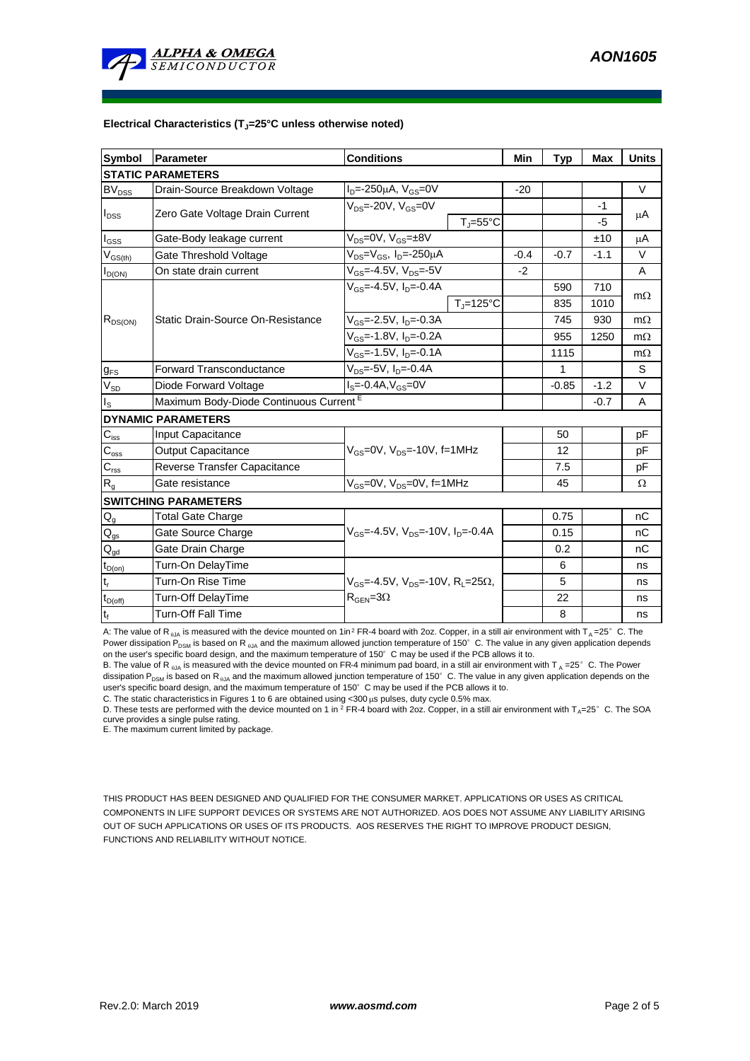

## **Electrical Characteristics (TJ=25°C unless otherwise noted)**

| <b>Symbol</b>              | Parameter                                                            | <b>Conditions</b>                                                     | Min    | <b>Typ</b> | <b>Max</b> | <b>Units</b> |  |  |  |  |  |
|----------------------------|----------------------------------------------------------------------|-----------------------------------------------------------------------|--------|------------|------------|--------------|--|--|--|--|--|
| <b>STATIC PARAMETERS</b>   |                                                                      |                                                                       |        |            |            |              |  |  |  |  |  |
| $BV_{DSS}$                 | Drain-Source Breakdown Voltage                                       | $I_{D} = -250 \mu A$ , $V_{GS} = 0V$                                  | $-20$  |            |            | V            |  |  |  |  |  |
| $I_{DSS}$                  | Zero Gate Voltage Drain Current                                      | $V_{DS}$ =-20V, $V_{GS}$ =0V                                          |        |            | $-1$       | μA           |  |  |  |  |  |
|                            |                                                                      | $T_i = 55^{\circ}C$                                                   |        |            | $-5$       |              |  |  |  |  |  |
| $I_{GSS}$                  | Gate-Body leakage current                                            | $V_{DS}=0V$ , $V_{GS}=±8V$                                            |        |            | ±10        | μA           |  |  |  |  |  |
| $V_{GS(th)}$               | $V_{DS} = V_{GS}$ , I <sub>D</sub> =-250µA<br>Gate Threshold Voltage |                                                                       | $-0.4$ | $-0.7$     | $-1.1$     | V            |  |  |  |  |  |
| $I_{D(ON)}$                | On state drain current                                               | $V_{GS} = -4.5V$ , $V_{DS} = -5V$                                     | $-2$   |            |            | A            |  |  |  |  |  |
| $R_{DS(ON)}$               |                                                                      | $V_{c}$ <sub>s</sub> =-4.5V, $I_{D}$ =-0.4A                           |        | 590        | 710        | $m\Omega$    |  |  |  |  |  |
|                            | Static Drain-Source On-Resistance                                    | $T_i = 125$ °C                                                        |        | 835        | 1010       |              |  |  |  |  |  |
|                            |                                                                      | $V_{GS}$ =-2.5V, $I_{D}$ =-0.3A                                       |        | 745        | 930        | $m\Omega$    |  |  |  |  |  |
|                            |                                                                      | $V_{GS}$ =-1.8V, I <sub>D</sub> =-0.2A                                |        | 955        | 1250       | $m\Omega$    |  |  |  |  |  |
|                            |                                                                      | $V_{GS}$ =-1.5V, $I_{D}$ =-0.1A                                       |        | 1115       |            | $m\Omega$    |  |  |  |  |  |
| g <sub>FS</sub>            | <b>Forward Transconductance</b>                                      |                                                                       | 1      |            | S          |              |  |  |  |  |  |
| $V_{SD}$                   | Diode Forward Voltage                                                | $IS=-0.4A, VGS=0V$                                                    |        | $-0.85$    | $-1.2$     | V            |  |  |  |  |  |
| $I_{\rm S}$                | Maximum Body-Diode Continuous Current <sup>E</sup>                   |                                                                       |        | $-0.7$     | A          |              |  |  |  |  |  |
|                            | <b>DYNAMIC PARAMETERS</b>                                            |                                                                       |        |            |            |              |  |  |  |  |  |
| $C_{\text{iss}}$           | Input Capacitance                                                    |                                                                       |        | 50         |            | рF           |  |  |  |  |  |
| $C_{\rm oss}$              | <b>Output Capacitance</b>                                            | $V_{GS}$ =0V, $V_{DS}$ =-10V, f=1MHz                                  |        | 12         |            | pF           |  |  |  |  |  |
| $C_{\rm rss}$              | Reverse Transfer Capacitance                                         |                                                                       |        | 7.5        |            | рF           |  |  |  |  |  |
| $R_{g}$                    | Gate resistance                                                      | $V_{GS}$ =0V, $V_{DS}$ =0V, f=1MHz                                    |        | 45         |            | Ω            |  |  |  |  |  |
|                            | <b>SWITCHING PARAMETERS</b>                                          |                                                                       |        |            |            |              |  |  |  |  |  |
| $\mathsf{Q}_{\mathsf{g}}$  | <b>Total Gate Charge</b>                                             |                                                                       |        | 0.75       |            | nC           |  |  |  |  |  |
| $\mathsf{Q}_{\mathsf{gs}}$ | Gate Source Charge                                                   | $V_{GS}$ =-4.5V, $V_{DS}$ =-10V, $I_{D}$ =-0.4A                       |        | 0.15       |            | nC           |  |  |  |  |  |
| $\mathsf{Q}_{\mathsf{gd}}$ | Gate Drain Charge                                                    |                                                                       |        | 0.2        |            | nC           |  |  |  |  |  |
| $t_{D(on)}$                | Turn-On DelayTime                                                    |                                                                       |        | 6          |            | ns           |  |  |  |  |  |
| t,                         | Turn-On Rise Time                                                    | $V_{\text{GS}} = -4.5V$ , $V_{\text{DS}} = -10V$ , $R_1 = 25\Omega$ , |        | 5          |            | ns           |  |  |  |  |  |
| $t_{D(off)}$               | Turn-Off DelayTime                                                   | $R_{\text{GEN}} = 3\Omega$                                            |        | 22         |            | ns           |  |  |  |  |  |
| $t_f$                      | <b>Turn-Off Fall Time</b>                                            |                                                                       |        | 8          |            | ns           |  |  |  |  |  |

A: The value of R<sub>0JA</sub> is measured with the device mounted on 1in<sup>2</sup> FR-4 board with 2oz. Copper, in a still air environment with T<sub>A</sub>=25°C. The Power dissipation P<sub>DSM</sub> is based on R<sub>AJA</sub> and the maximum allowed junction temperature of 150°C. The value in any given application depends on the user's specific board design, and the maximum temperature of 150°C may be used if the PCB allows it to.

B. The value of R <sub>6JA</sub> is measured with the device mounted on FR-4 minimum pad board, in a still air environment with T  $_A = 25^\circ$  C. The Power dissipation P<sub>DSM</sub> is based on R<sub>eJA</sub> and the maximum allowed junction temperature of 150°C. The value in any given application depends on the user's specific board design, and the maximum temperature of 150°C may be used if the PCB allows it to.

C. The static characteristics in Figures 1 to 6 are obtained using  $<$  300  $\mu$ s pulses, duty cycle 0.5% max.

D. These tests are performed with the device mounted on 1 in  $^2$  FR-4 board with 2oz. Copper, in a still air environment with T<sub>A</sub>=25°C. The SOA curve provides a single pulse rating.

E. The maximum current limited by package.

THIS PRODUCT HAS BEEN DESIGNED AND QUALIFIED FOR THE CONSUMER MARKET. APPLICATIONS OR USES AS CRITICAL COMPONENTS IN LIFE SUPPORT DEVICES OR SYSTEMS ARE NOT AUTHORIZED. AOS DOES NOT ASSUME ANY LIABILITY ARISING OUT OF SUCH APPLICATIONS OR USES OF ITS PRODUCTS. AOS RESERVES THE RIGHT TO IMPROVE PRODUCT DESIGN, FUNCTIONS AND RELIABILITY WITHOUT NOTICE.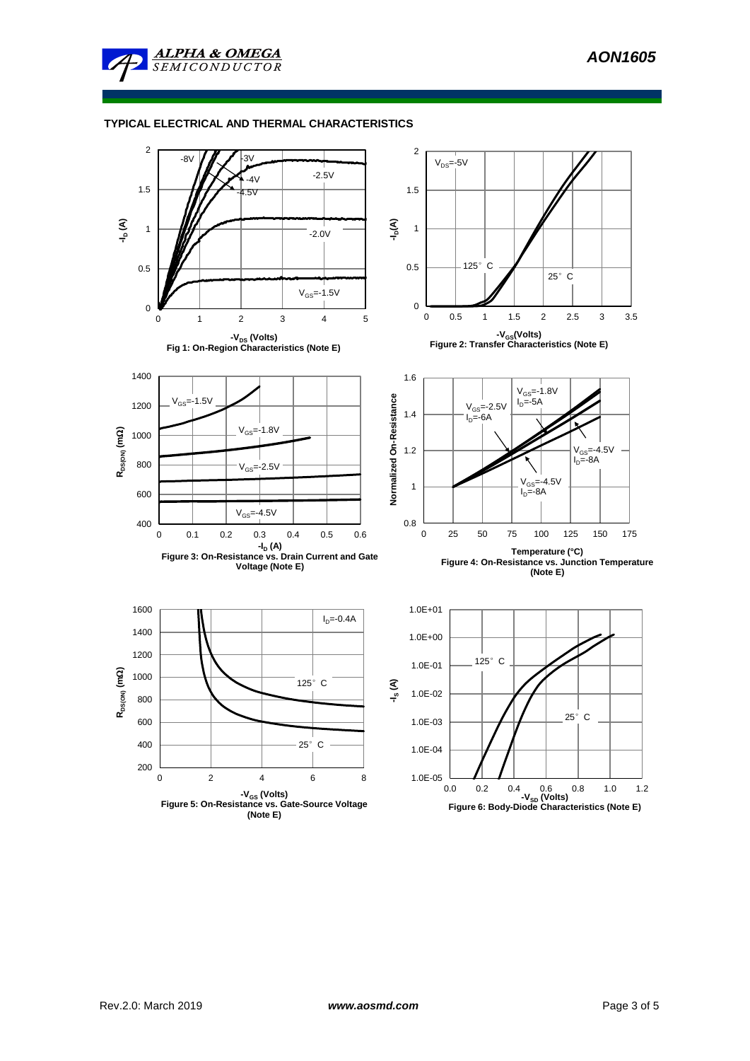

## **TYPICAL ELECTRICAL AND THERMAL CHARACTERISTICS**

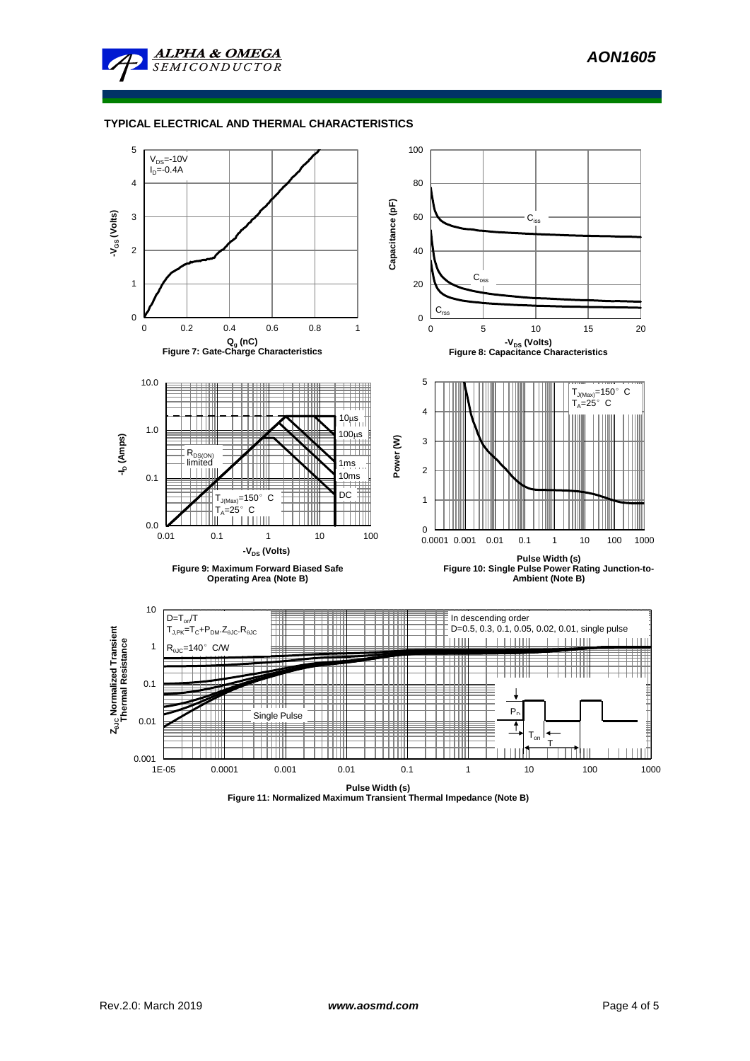

## **TYPICAL ELECTRICAL AND THERMAL CHARACTERISTICS**



**Figure 11: Normalized Maximum Transient Thermal Impedance (Note B)**